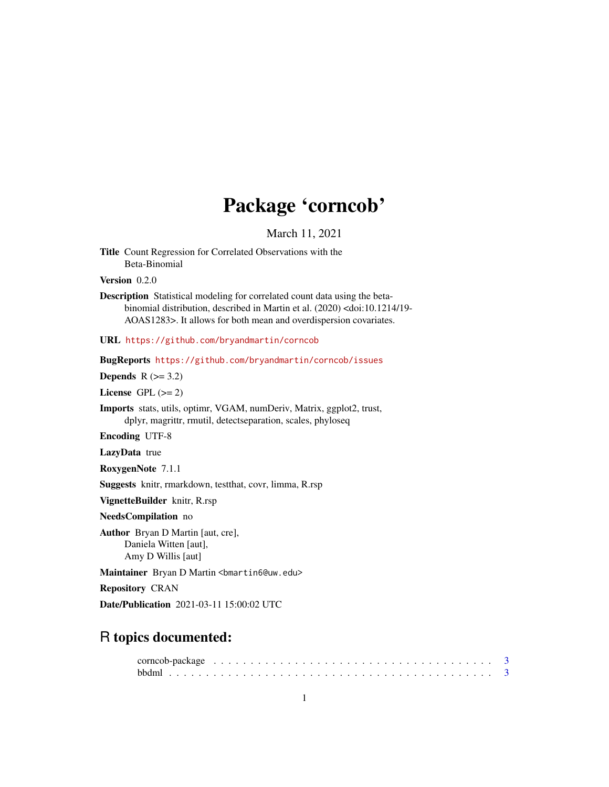# Package 'corncob'

March 11, 2021

<span id="page-0-0"></span>Title Count Regression for Correlated Observations with the Beta-Binomial

Version 0.2.0

Description Statistical modeling for correlated count data using the betabinomial distribution, described in Martin et al. (2020) <doi:10.1214/19- AOAS1283>. It allows for both mean and overdispersion covariates.

URL <https://github.com/bryandmartin/corncob>

BugReports <https://github.com/bryandmartin/corncob/issues>

Depends  $R$  ( $>= 3.2$ )

License GPL  $(>= 2)$ 

Imports stats, utils, optimr, VGAM, numDeriv, Matrix, ggplot2, trust, dplyr, magrittr, rmutil, detectseparation, scales, phyloseq

Encoding UTF-8

LazyData true

RoxygenNote 7.1.1

Suggests knitr, rmarkdown, testthat, covr, limma, R.rsp

VignetteBuilder knitr, R.rsp

NeedsCompilation no

Author Bryan D Martin [aut, cre], Daniela Witten [aut], Amy D Willis [aut]

Maintainer Bryan D Martin <br/>bmartin6@uw.edu>

Repository CRAN

Date/Publication 2021-03-11 15:00:02 UTC

# R topics documented: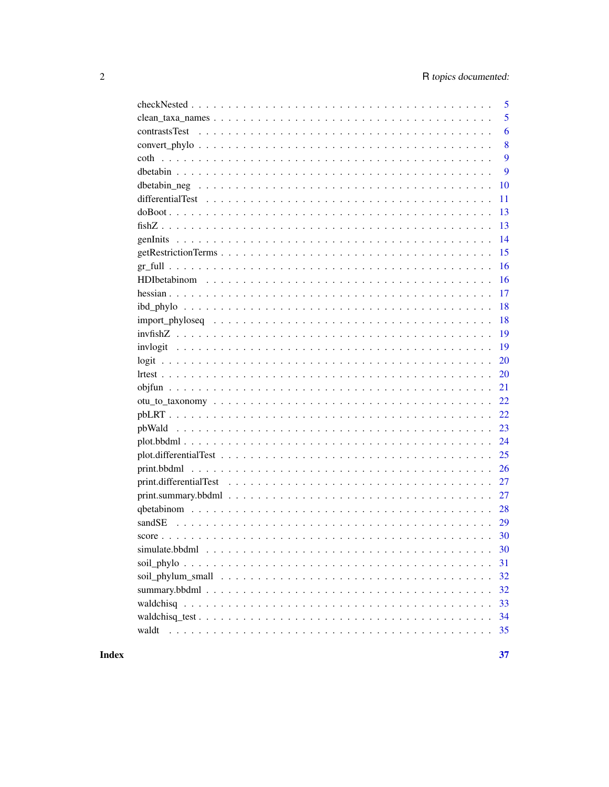|               | 5  |
|---------------|----|
|               | 5  |
| contrastsTest | 6  |
|               | 8  |
|               | 9  |
|               | 9  |
|               | 10 |
|               | 11 |
|               | 13 |
|               | 13 |
|               | 14 |
|               | 15 |
|               | 16 |
|               | 16 |
|               | 17 |
|               | 18 |
|               | 18 |
|               | 19 |
|               | 19 |
|               | 20 |
|               | 20 |
|               | 21 |
|               | 22 |
|               |    |
|               | 23 |
|               | 24 |
|               |    |
|               |    |
|               |    |
|               | 27 |
|               |    |
| sandSE        |    |
|               |    |
|               | 30 |
|               | 31 |
|               | 32 |
|               | 32 |
|               | 33 |
|               | 34 |
| waldt         | 35 |
|               |    |

**Index**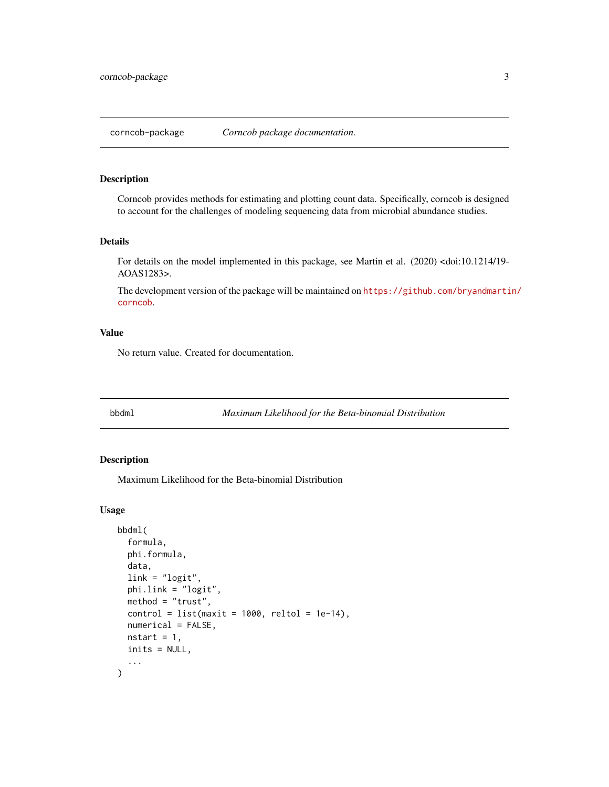<span id="page-2-0"></span>

Corncob provides methods for estimating and plotting count data. Specifically, corncob is designed to account for the challenges of modeling sequencing data from microbial abundance studies.

#### Details

For details on the model implemented in this package, see Martin et al. (2020) <doi:10.1214/19- AOAS1283>.

The development version of the package will be maintained on [https://github.com/bryandmarti](https://github.com/bryandmartin/corncob)n/ [corncob](https://github.com/bryandmartin/corncob).

#### Value

No return value. Created for documentation.

<span id="page-2-1"></span>bbdml *Maximum Likelihood for the Beta-binomial Distribution*

## Description

Maximum Likelihood for the Beta-binomial Distribution

#### Usage

```
bbdml(
  formula,
  phi.formula,
  data,
  link = "logit",
  phi.link = "logit",
 method = "trust",
  control = list(maxit = 1000, reltol = 1e-14),
  numerical = FALSE,
  nstart = 1,
  inits = NULL,
  ...
)
```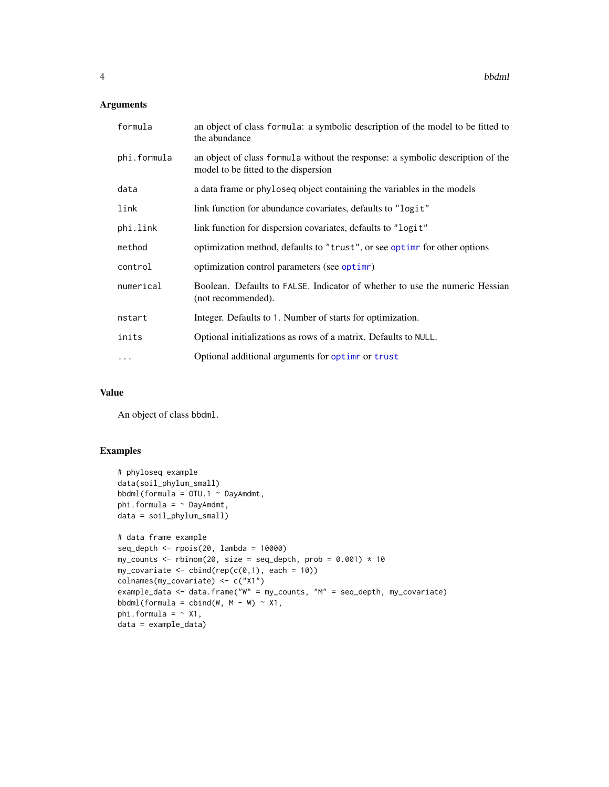## <span id="page-3-0"></span>Arguments

| formula     | an object of class formula: a symbolic description of the model to be fitted to<br>the abundance                       |
|-------------|------------------------------------------------------------------------------------------------------------------------|
| phi.formula | an object of class formula without the response: a symbolic description of the<br>model to be fitted to the dispersion |
| data        | a data frame or phyloseq object containing the variables in the models                                                 |
| link        | link function for abundance covariates, defaults to "logit"                                                            |
| phi.link    | link function for dispersion covariates, defaults to "logit"                                                           |
| method      | optimization method, defaults to "trust", or see optime for other options                                              |
| control     | optimization control parameters (see optime)                                                                           |
| numerical   | Boolean. Defaults to FALSE. Indicator of whether to use the numeric Hessian<br>(not recommended).                      |
| nstart      | Integer. Defaults to 1. Number of starts for optimization.                                                             |
| inits       | Optional initializations as rows of a matrix. Defaults to NULL.                                                        |
| .           | Optional additional arguments for optime or trust                                                                      |

#### Value

An object of class bbdml.

#### Examples

```
# phyloseq example
data(soil_phylum_small)
bbdml(formula = OTU.1 ~ DayAmdmt,
phi.formula = \sim DayAmdmt,
data = soil_phylum_small)
# data frame example
seq_depth <- rpois(20, lambda = 10000)
my_counts <- rbinom(20, size = seq_depth, prob = 0.001) * 10
my\_covariate \leftarrow \text{cbind}(rep(c(\emptyset, 1), each = 10))colnames(my_covariate) <- c("X1")
example_data <- data.frame("W" = my_counts, "M" = seq_depth, my_covariate)
bbdml(formula = cbind(W, M - W) ~ X1,
phi.formula = ~\sim X1,
data = example_data)
```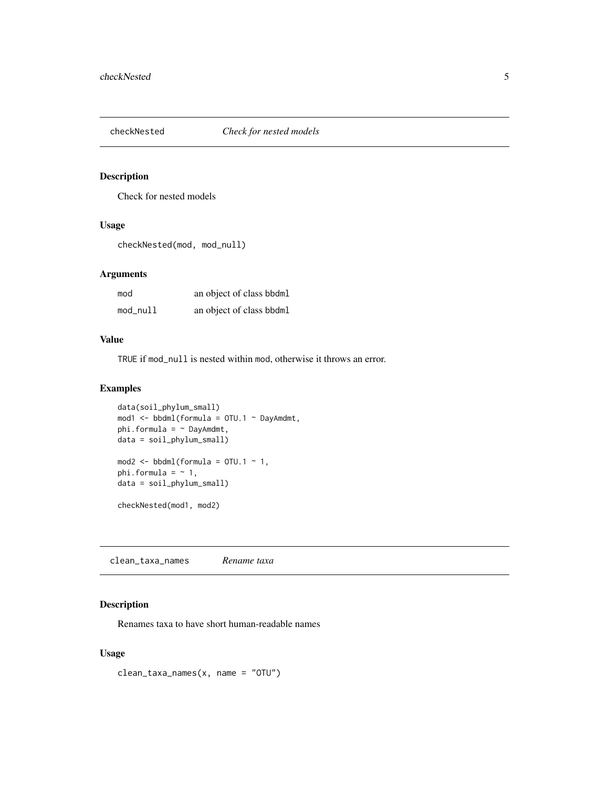<span id="page-4-0"></span>

Check for nested models

#### Usage

checkNested(mod, mod\_null)

#### Arguments

| mod      | an object of class bbdml |
|----------|--------------------------|
| mod_null | an object of class bbdml |

# Value

TRUE if mod\_null is nested within mod, otherwise it throws an error.

#### Examples

```
data(soil_phylum_small)
mod1 <- bbdml(formula = OTU.1 ~ DayAmdmt,
phi.formula = \sim DayAmdmt,
data = soil_phylum_small)
mod2 \le bbdml(formula = 0TU.1 \sim 1,
phi.formula = ~1,
data = soil_phylum_small)
checkNested(mod1, mod2)
```
clean\_taxa\_names *Rename taxa*

## Description

Renames taxa to have short human-readable names

#### Usage

clean\_taxa\_names(x, name = "OTU")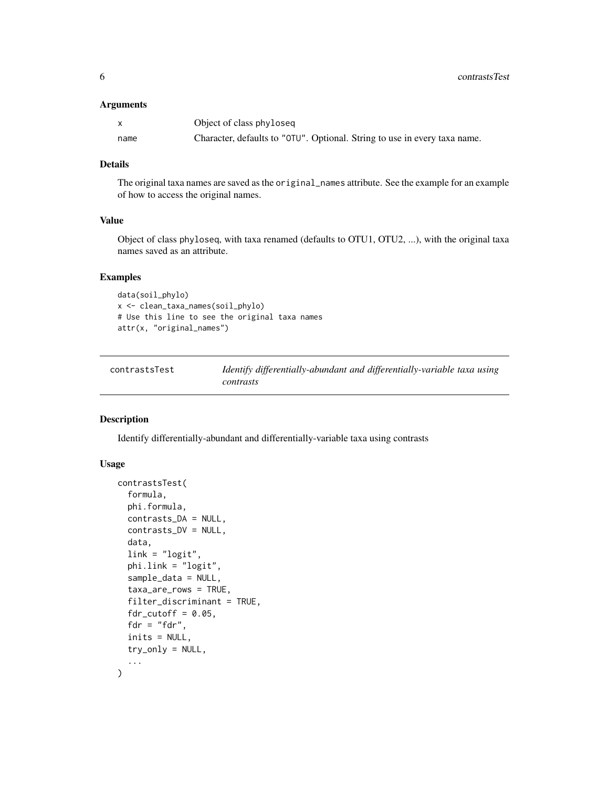#### <span id="page-5-0"></span>Arguments

| $\mathsf{X}$ | Object of class phyloseq                                                  |
|--------------|---------------------------------------------------------------------------|
| name         | Character, defaults to "OTU". Optional. String to use in every taxa name. |

# Details

The original taxa names are saved as the original\_names attribute. See the example for an example of how to access the original names.

#### Value

Object of class phyloseq, with taxa renamed (defaults to OTU1, OTU2, ...), with the original taxa names saved as an attribute.

#### Examples

```
data(soil_phylo)
x <- clean_taxa_names(soil_phylo)
# Use this line to see the original taxa names
attr(x, "original_names")
```
<span id="page-5-1"></span>

| contrastsTest | Identify differentially-abundant and differentially-variable taxa using |
|---------------|-------------------------------------------------------------------------|
|               | contrasts                                                               |

#### Description

Identify differentially-abundant and differentially-variable taxa using contrasts

# Usage

```
contrastsTest(
  formula,
  phi.formula,
  contrasts_DA = NULL,
  contrasts_DV = NULL,
  data,
  link = "logit",
  phi.link = "logit",
  sample_data = NULL,
  taxa_are_rows = TRUE,
  filter_discriminant = TRUE,
  fdr_cutoff = 0.05,
  fdr = "fdr",inits = NULL,
  try_only = NULL,
  ...
\mathcal{L}
```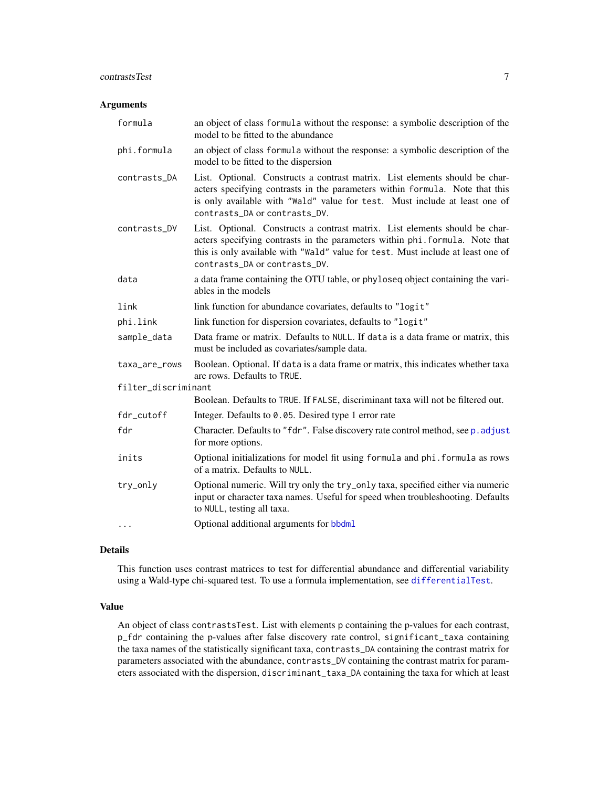#### <span id="page-6-0"></span>contrastsTest 7

#### Arguments

| formula             | an object of class formula without the response: a symbolic description of the<br>model to be fitted to the abundance                                                                                                                                                           |
|---------------------|---------------------------------------------------------------------------------------------------------------------------------------------------------------------------------------------------------------------------------------------------------------------------------|
| phi.formula         | an object of class formula without the response: a symbolic description of the<br>model to be fitted to the dispersion                                                                                                                                                          |
| contrasts_DA        | List. Optional. Constructs a contrast matrix. List elements should be char-<br>acters specifying contrasts in the parameters within formula. Note that this<br>is only available with "Wald" value for test. Must include at least one of<br>contrasts_DA or contrasts_DV.      |
| contrasts_DV        | List. Optional. Constructs a contrast matrix. List elements should be char-<br>acters specifying contrasts in the parameters within phi. formula. Note that<br>this is only available with "Wald" value for test. Must include at least one of<br>contrasts_DA or contrasts_DV. |
| data                | a data frame containing the OTU table, or phyloseq object containing the vari-<br>ables in the models                                                                                                                                                                           |
| link                | link function for abundance covariates, defaults to "logit"                                                                                                                                                                                                                     |
| phi.link            | link function for dispersion covariates, defaults to "logit"                                                                                                                                                                                                                    |
| sample_data         | Data frame or matrix. Defaults to NULL. If data is a data frame or matrix, this<br>must be included as covariates/sample data.                                                                                                                                                  |
| taxa_are_rows       | Boolean. Optional. If data is a data frame or matrix, this indicates whether taxa<br>are rows. Defaults to TRUE.                                                                                                                                                                |
| filter_discriminant |                                                                                                                                                                                                                                                                                 |
|                     | Boolean. Defaults to TRUE. If FALSE, discriminant taxa will not be filtered out.                                                                                                                                                                                                |
| fdr_cutoff          | Integer. Defaults to 0.05. Desired type 1 error rate                                                                                                                                                                                                                            |
| fdr                 | Character. Defaults to "fdr". False discovery rate control method, see p. adjust<br>for more options.                                                                                                                                                                           |
| inits               | Optional initializations for model fit using formula and phi. formula as rows<br>of a matrix. Defaults to NULL.                                                                                                                                                                 |
| try_only            | Optional numeric. Will try only the try_only taxa, specified either via numeric<br>input or character taxa names. Useful for speed when troubleshooting. Defaults<br>to NULL, testing all taxa.                                                                                 |
| $\cdots$            | Optional additional arguments for bbdml                                                                                                                                                                                                                                         |

#### Details

This function uses contrast matrices to test for differential abundance and differential variability using a Wald-type chi-squared test. To use a formula implementation, see [differentialTest](#page-10-1).

## Value

An object of class contrastsTest. List with elements p containing the p-values for each contrast, p\_fdr containing the p-values after false discovery rate control, significant\_taxa containing the taxa names of the statistically significant taxa, contrasts\_DA containing the contrast matrix for parameters associated with the abundance, contrasts\_DV containing the contrast matrix for parameters associated with the dispersion, discriminant\_taxa\_DA containing the taxa for which at least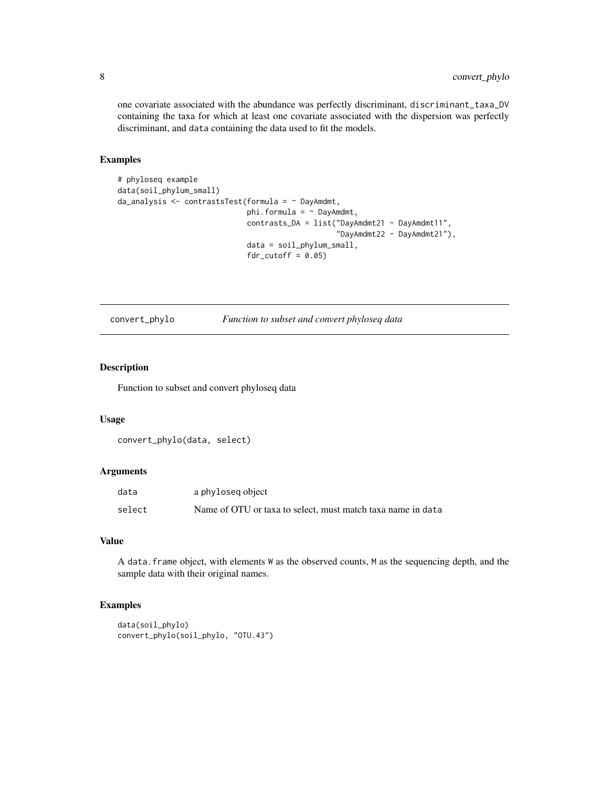one covariate associated with the abundance was perfectly discriminant, discriminant\_taxa\_DV containing the taxa for which at least one covariate associated with the dispersion was perfectly discriminant, and data containing the data used to fit the models.

#### Examples

```
# phyloseq example
data(soil_phylum_small)
da_analysis <- contrastsTest(formula = ~ DayAmdmt,
                             phi.formula = \sim DayAmdmt,
                             contrasts_DA = list("DayAmdmt21 - DayAmdmt11",
                                                  "DayAmdmt22 - DayAmdmt21"),
                             data = soil_phylum_small,
                             fdr_cutoff = 0.05
```
convert\_phylo *Function to subset and convert phyloseq data*

#### Description

Function to subset and convert phyloseq data

#### Usage

```
convert_phylo(data, select)
```
#### Arguments

| data   | a phyloseg object                                           |
|--------|-------------------------------------------------------------|
| select | Name of OTU or taxa to select, must match taxa name in data |

# Value

A data.frame object, with elements W as the observed counts, M as the sequencing depth, and the sample data with their original names.

#### Examples

```
data(soil_phylo)
convert_phylo(soil_phylo, "OTU.43")
```
<span id="page-7-0"></span>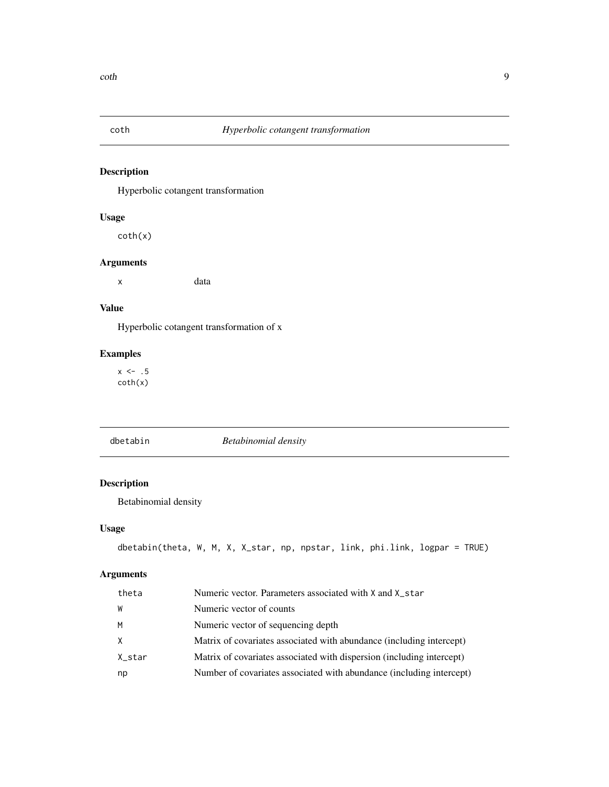<span id="page-8-0"></span>

Hyperbolic cotangent transformation

#### Usage

coth(x)

# Arguments

x data

# Value

Hyperbolic cotangent transformation of x

## Examples

 $x \le -1.5$ coth(x)

dbetabin *Betabinomial density*

# Description

Betabinomial density

## Usage

```
dbetabin(theta, W, M, X, X_star, np, npstar, link, phi.link, logpar = TRUE)
```
# Arguments

| theta  | Numeric vector. Parameters associated with X and X_star               |
|--------|-----------------------------------------------------------------------|
| W      | Numeric vector of counts                                              |
| м      | Numeric vector of sequencing depth                                    |
| X.     | Matrix of covariates associated with abundance (including intercept)  |
| X_star | Matrix of covariates associated with dispersion (including intercept) |
| np     | Number of covariates associated with abundance (including intercept)  |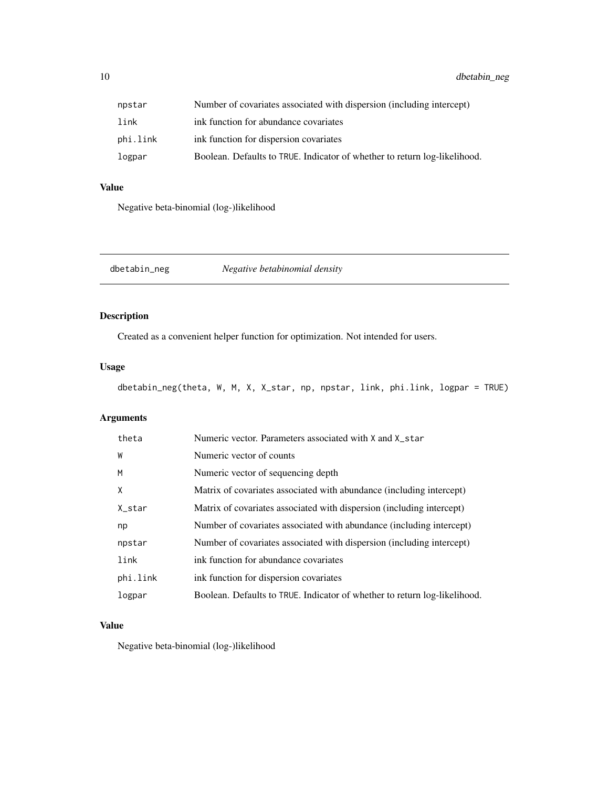<span id="page-9-0"></span>

| npstar   | Number of covariates associated with dispersion (including intercept)     |
|----------|---------------------------------------------------------------------------|
| link     | ink function for abundance covariates                                     |
| phi.link | ink function for dispersion covariates                                    |
| logpar   | Boolean. Defaults to TRUE. Indicator of whether to return log-likelihood. |

# Value

Negative beta-binomial (log-)likelihood

dbetabin\_neg *Negative betabinomial density*

## Description

Created as a convenient helper function for optimization. Not intended for users.

# Usage

dbetabin\_neg(theta, W, M, X, X\_star, np, npstar, link, phi.link, logpar = TRUE)

# Arguments

| theta    | Numeric vector. Parameters associated with X and X_star                   |
|----------|---------------------------------------------------------------------------|
| W        | Numeric vector of counts                                                  |
| M        | Numeric vector of sequencing depth                                        |
| X        | Matrix of covariates associated with abundance (including intercept)      |
| X_star   | Matrix of covariates associated with dispersion (including intercept)     |
| np       | Number of covariates associated with abundance (including intercept)      |
| npstar   | Number of covariates associated with dispersion (including intercept)     |
| link     | ink function for abundance covariates                                     |
| phi.link | ink function for dispersion covariates                                    |
| logpar   | Boolean. Defaults to TRUE. Indicator of whether to return log-likelihood. |

# Value

Negative beta-binomial (log-)likelihood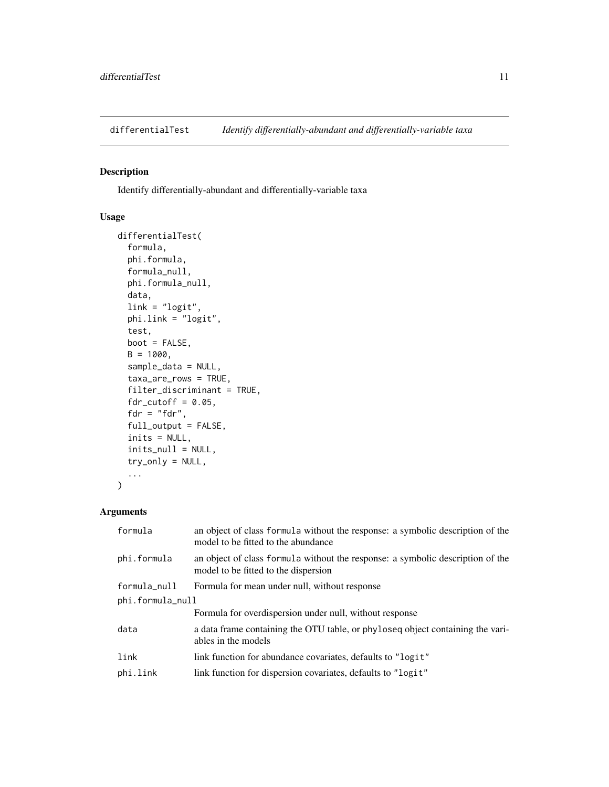<span id="page-10-1"></span><span id="page-10-0"></span>

Identify differentially-abundant and differentially-variable taxa

# Usage

```
differentialTest(
  formula,
 phi.formula,
 formula_null,
  phi.formula_null,
  data,
  link = "logit",
 phi.link = "logit",
  test,
 boot = FALSE,B = 1000,sample_data = NULL,
  taxa_are_rows = TRUE,
  filter_discriminant = TRUE,
  fdr_cutoff = 0.05,
 fdr = "fdr",
  full_output = FALSE,
  inits = NULL,
  inits_null = NULL,
  try_only = NULL,
  ...
)
```
# Arguments

| formula          | an object of class formula without the response: a symbolic description of the<br>model to be fitted to the abundance  |
|------------------|------------------------------------------------------------------------------------------------------------------------|
| phi.formula      | an object of class formula without the response: a symbolic description of the<br>model to be fitted to the dispersion |
| formula_null     | Formula for mean under null, without response                                                                          |
| phi.formula_null |                                                                                                                        |
|                  | Formula for overdispersion under null, without response                                                                |
| data             | a data frame containing the OTU table, or phyloseq object containing the vari-<br>ables in the models                  |
| link             | link function for abundance covariates, defaults to "logit"                                                            |
| phi.link         | link function for dispersion covariates, defaults to "logit"                                                           |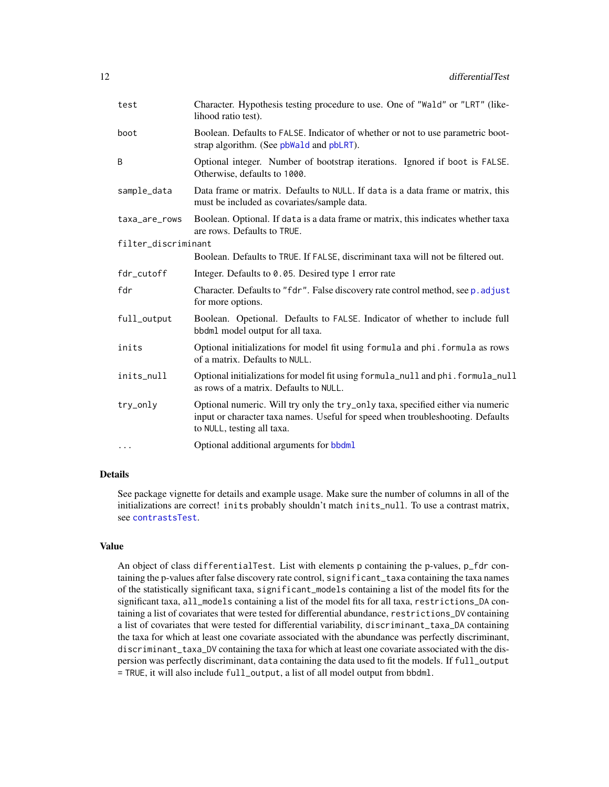<span id="page-11-0"></span>

| test                | Character. Hypothesis testing procedure to use. One of "Wald" or "LRT" (like-<br>lihood ratio test).                                                                                            |
|---------------------|-------------------------------------------------------------------------------------------------------------------------------------------------------------------------------------------------|
| boot                | Boolean. Defaults to FALSE. Indicator of whether or not to use parametric boot-<br>strap algorithm. (See pbWald and pbLRT).                                                                     |
| B                   | Optional integer. Number of bootstrap iterations. Ignored if boot is FALSE.<br>Otherwise, defaults to 1000.                                                                                     |
| sample_data         | Data frame or matrix. Defaults to NULL. If data is a data frame or matrix, this<br>must be included as covariates/sample data.                                                                  |
| taxa_are_rows       | Boolean. Optional. If data is a data frame or matrix, this indicates whether taxa<br>are rows. Defaults to TRUE.                                                                                |
| filter_discriminant |                                                                                                                                                                                                 |
|                     | Boolean. Defaults to TRUE. If FALSE, discriminant taxa will not be filtered out.                                                                                                                |
| fdr_cutoff          | Integer. Defaults to 0.05. Desired type 1 error rate                                                                                                                                            |
| fdr                 | Character. Defaults to "fdr". False discovery rate control method, see p. adjust<br>for more options.                                                                                           |
| full_output         | Boolean. Opetional. Defaults to FALSE. Indicator of whether to include full<br>bbdml model output for all taxa.                                                                                 |
| inits               | Optional initializations for model fit using formula and phi. formula as rows<br>of a matrix. Defaults to NULL.                                                                                 |
| inits_null          | Optional initializations for model fit using formula_null and phi.formula_null<br>as rows of a matrix. Defaults to NULL.                                                                        |
| try_only            | Optional numeric. Will try only the try_only taxa, specified either via numeric<br>input or character taxa names. Useful for speed when troubleshooting. Defaults<br>to NULL, testing all taxa. |
| $\cdots$            | Optional additional arguments for bbdml                                                                                                                                                         |
|                     |                                                                                                                                                                                                 |

#### Details

See package vignette for details and example usage. Make sure the number of columns in all of the initializations are correct! inits probably shouldn't match inits\_null. To use a contrast matrix, see [contrastsTest](#page-5-1).

# Value

An object of class differentialTest. List with elements p containing the p-values, p\_fdr containing the p-values after false discovery rate control, significant\_taxa containing the taxa names of the statistically significant taxa, significant\_models containing a list of the model fits for the significant taxa, all\_models containing a list of the model fits for all taxa, restrictions\_DA containing a list of covariates that were tested for differential abundance, restrictions\_DV containing a list of covariates that were tested for differential variability, discriminant\_taxa\_DA containing the taxa for which at least one covariate associated with the abundance was perfectly discriminant, discriminant\_taxa\_DV containing the taxa for which at least one covariate associated with the dispersion was perfectly discriminant, data containing the data used to fit the models. If full\_output = TRUE, it will also include full\_output, a list of all model output from bbdml.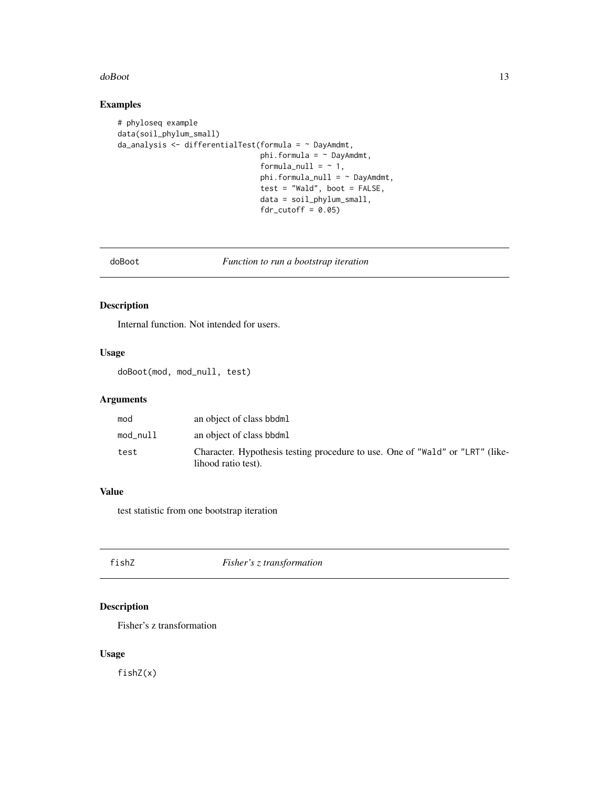#### <span id="page-12-0"></span>doBoot and the state of the state of the state of the state of the state of the state of the state of the state of the state of the state of the state of the state of the state of the state of the state of the state of the

#### Examples

```
# phyloseq example
data(soil_phylum_small)
da_analysis <- differentialTest(formula = ~ DayAmdmt,
                                phi.formula = \sim DayAmdmt,
                                formula_null = ~1,
                                phi.formula_null = ~ DayAmdmt,
                                test = "Wald", boot = FALSE,data = soil_phylum_small,
                                fdr_cutoff = 0.05
```
doBoot *Function to run a bootstrap iteration*

# Description

Internal function. Not intended for users.

#### Usage

doBoot(mod, mod\_null, test)

## Arguments

| mod      | an object of class bbdml                                                                             |
|----------|------------------------------------------------------------------------------------------------------|
| mod_null | an object of class bbdml                                                                             |
| test     | Character. Hypothesis testing procedure to use. One of "Wald" or "LRT" (like-<br>lihood ratio test). |

# Value

test statistic from one bootstrap iteration

fishZ *Fisher's z transformation*

## Description

Fisher's z transformation

#### Usage

fishZ(x)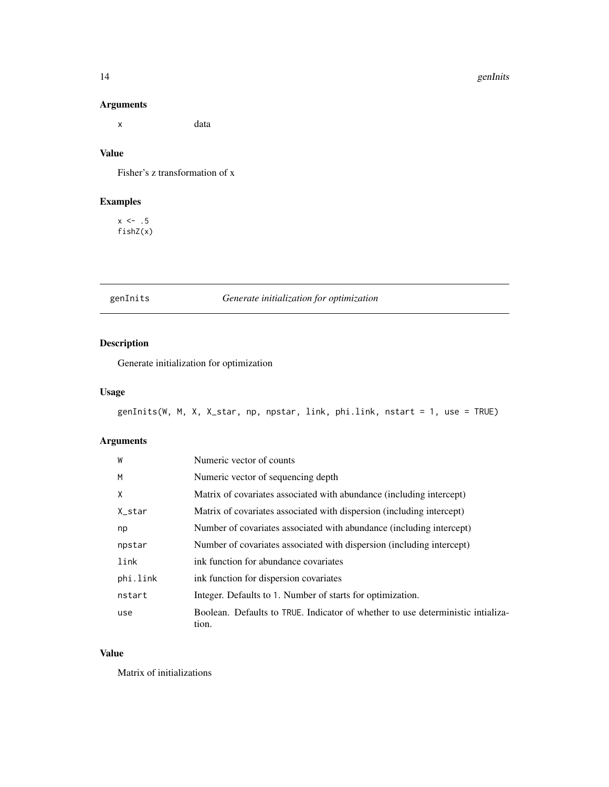#### 14 genInits

## Arguments

x data

# Value

Fisher's z transformation of x

# Examples

 $x \le -0.5$ fishZ(x)

# genInits *Generate initialization for optimization*

# Description

Generate initialization for optimization

## Usage

```
genInits(W, M, X, X_star, np, npstar, link, phi.link, nstart = 1, use = TRUE)
```
## Arguments

| W        | Numeric vector of counts                                                                 |
|----------|------------------------------------------------------------------------------------------|
| M        | Numeric vector of sequencing depth                                                       |
| X        | Matrix of covariates associated with abundance (including intercept)                     |
| X_star   | Matrix of covariates associated with dispersion (including intercept)                    |
| np       | Number of covariates associated with abundance (including intercept)                     |
| npstar   | Number of covariates associated with dispersion (including intercept)                    |
| link     | ink function for abundance covariates                                                    |
| phi.link | ink function for dispersion covariates                                                   |
| nstart   | Integer. Defaults to 1. Number of starts for optimization.                               |
| use      | Boolean. Defaults to TRUE. Indicator of whether to use deterministic intializa-<br>tion. |

#### Value

Matrix of initializations

<span id="page-13-0"></span>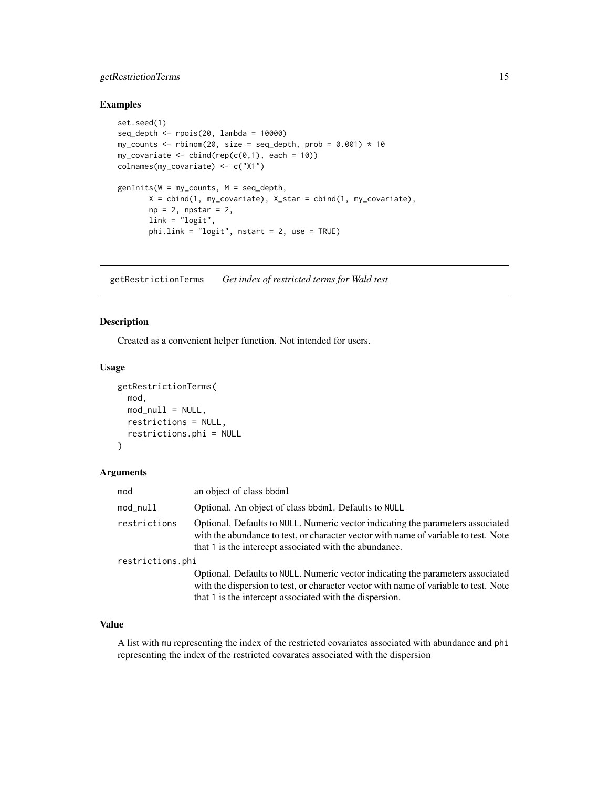## <span id="page-14-0"></span>getRestrictionTerms 15

#### Examples

```
set.seed(1)
seq\_depth \leq - \text{pois}(20, \text{lambda} = 10000)my_counts <- rbinom(20, size = seq_depth, prob = 0.001) * 10
my\_covariate \leftarrow \text{cbind}(rep(c(0,1), each = 10))colnames(my_covariate) <- c("X1")
genInits(W = my_counts, M = seq_depth,
        X = \text{cbind}(1, \text{my\_covariate}), X_{\text{star}} = \text{cbind}(1, \text{my\_covariate}),np = 2, npstar = 2,
        link = "logit",
        phi.link = "logit", nstart = 2, use = TRUE)
```
getRestrictionTerms *Get index of restricted terms for Wald test*

# Description

Created as a convenient helper function. Not intended for users.

#### Usage

```
getRestrictionTerms(
 mod,
 mod\_null = NULL,restrictions = NULL,
  restrictions.phi = NULL
)
```
#### Arguments

| mod              | an object of class bbdml                                                                                                                                                                                                           |
|------------------|------------------------------------------------------------------------------------------------------------------------------------------------------------------------------------------------------------------------------------|
| mod_null         | Optional. An object of class bbdml. Defaults to NULL                                                                                                                                                                               |
| restrictions     | Optional. Defaults to NULL. Numeric vector indicating the parameters associated<br>with the abundance to test, or character vector with name of variable to test. Note<br>that 1 is the intercept associated with the abundance.   |
| restrictions.phi |                                                                                                                                                                                                                                    |
|                  | Optional. Defaults to NULL. Numeric vector indicating the parameters associated<br>with the dispersion to test, or character vector with name of variable to test. Note<br>that 1 is the intercept associated with the dispersion. |

#### Value

A list with mu representing the index of the restricted covariates associated with abundance and phi representing the index of the restricted covarates associated with the dispersion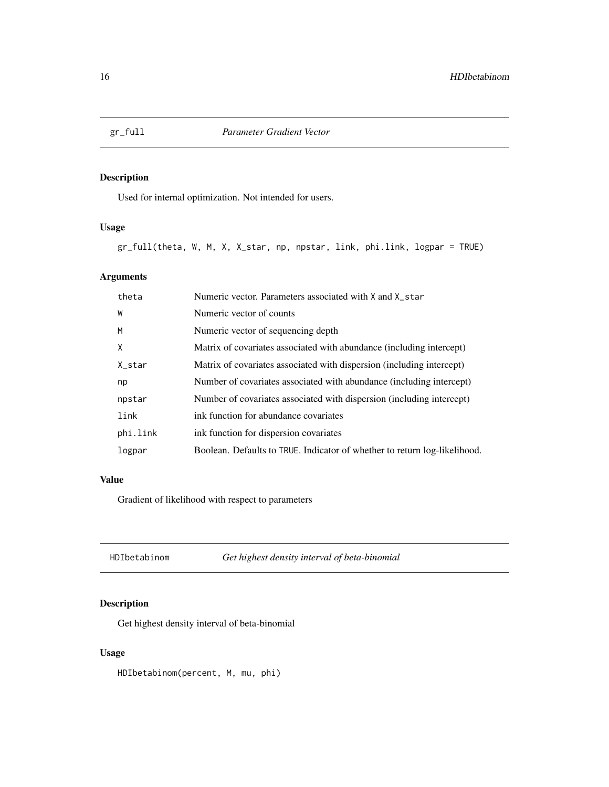<span id="page-15-0"></span>

Used for internal optimization. Not intended for users.

# Usage

gr\_full(theta, W, M, X, X\_star, np, npstar, link, phi.link, logpar = TRUE)

## Arguments

| theta    | Numeric vector. Parameters associated with X and X_star                   |
|----------|---------------------------------------------------------------------------|
| W        | Numeric vector of counts                                                  |
| M        | Numeric vector of sequencing depth                                        |
| X        | Matrix of covariates associated with abundance (including intercept)      |
| X_star   | Matrix of covariates associated with dispersion (including intercept)     |
| np       | Number of covariates associated with abundance (including intercept)      |
| npstar   | Number of covariates associated with dispersion (including intercept)     |
| link     | ink function for abundance covariates                                     |
| phi.link | ink function for dispersion covariates                                    |
| logpar   | Boolean. Defaults to TRUE. Indicator of whether to return log-likelihood. |

#### Value

Gradient of likelihood with respect to parameters

HDIbetabinom *Get highest density interval of beta-binomial*

## Description

Get highest density interval of beta-binomial

## Usage

HDIbetabinom(percent, M, mu, phi)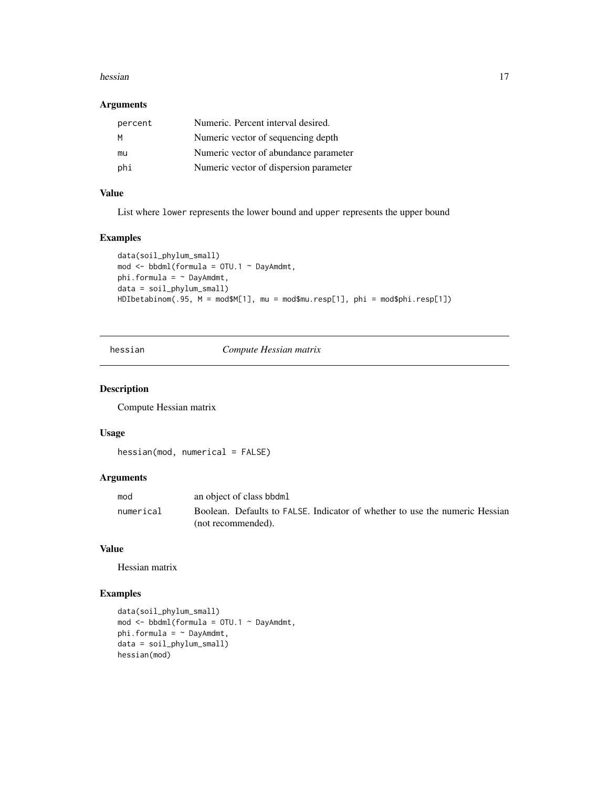#### <span id="page-16-0"></span>hessian and the state of the state of the state of the state of the state of the state of the state of the state of the state of the state of the state of the state of the state of the state of the state of the state of th

#### Arguments

| percent | Numeric. Percent interval desired.     |
|---------|----------------------------------------|
| м       | Numeric vector of sequencing depth     |
| mu      | Numeric vector of abundance parameter  |
| phi     | Numeric vector of dispersion parameter |

# Value

List where lower represents the lower bound and upper represents the upper bound

#### Examples

```
data(soil_phylum_small)
mod <- bbdml(formula = OTU.1 ~ DayAmdmt,
phi.formula = \sim DayAmdmt,
data = soil_phylum_small)
HDIbetabinom(.95, M = mod$M[1], mu = mod$mu.resp[1], phi = mod$phi.resp[1])
```
#### hessian *Compute Hessian matrix*

## Description

Compute Hessian matrix

#### Usage

```
hessian(mod, numerical = FALSE)
```
# Arguments

| mod       | an object of class bbdml                                                    |
|-----------|-----------------------------------------------------------------------------|
| numerical | Boolean. Defaults to FALSE. Indicator of whether to use the numeric Hessian |
|           | (not recommended).                                                          |

#### Value

Hessian matrix

# Examples

```
data(soil_phylum_small)
mod <- bbdml(formula = OTU.1 ~ DayAmdmt,
phi.formula = \sim DayAmdmt,
data = soil_phylum_small)
hessian(mod)
```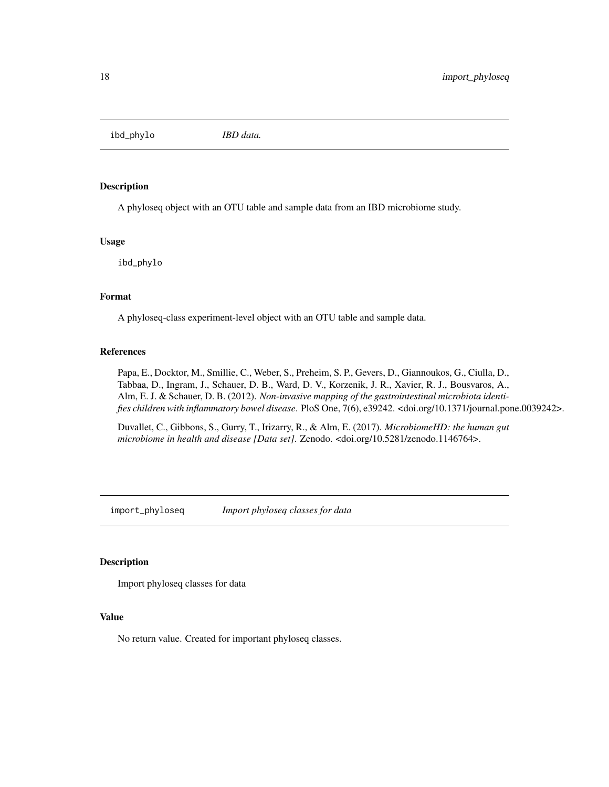<span id="page-17-0"></span>ibd\_phylo *IBD data.*

#### Description

A phyloseq object with an OTU table and sample data from an IBD microbiome study.

#### Usage

ibd\_phylo

#### Format

A phyloseq-class experiment-level object with an OTU table and sample data.

#### References

Papa, E., Docktor, M., Smillie, C., Weber, S., Preheim, S. P., Gevers, D., Giannoukos, G., Ciulla, D., Tabbaa, D., Ingram, J., Schauer, D. B., Ward, D. V., Korzenik, J. R., Xavier, R. J., Bousvaros, A., Alm, E. J. & Schauer, D. B. (2012). *Non-invasive mapping of the gastrointestinal microbiota identifies children with inflammatory bowel disease*. PloS One, 7(6), e39242. <doi.org/10.1371/journal.pone.0039242>.

Duvallet, C., Gibbons, S., Gurry, T., Irizarry, R., & Alm, E. (2017). *MicrobiomeHD: the human gut microbiome in health and disease [Data set]*. Zenodo. <doi.org/10.5281/zenodo.1146764>.

import\_phyloseq *Import phyloseq classes for data*

#### Description

Import phyloseq classes for data

#### Value

No return value. Created for important phyloseq classes.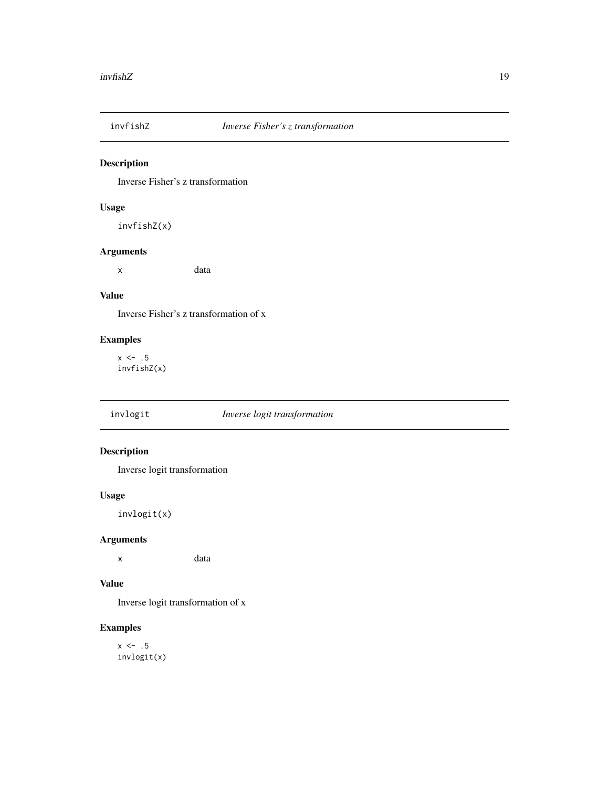<span id="page-18-0"></span>

Inverse Fisher's z transformation

## Usage

invfishZ(x)

## Arguments

x data

# Value

Inverse Fisher's z transformation of x

# Examples

 $x \leftarrow .5$ invfishZ(x)

# invlogit *Inverse logit transformation*

## Description

Inverse logit transformation

#### Usage

invlogit(x)

#### Arguments

x data

#### Value

Inverse logit transformation of x

## Examples

 $x \leftarrow .5$ invlogit(x)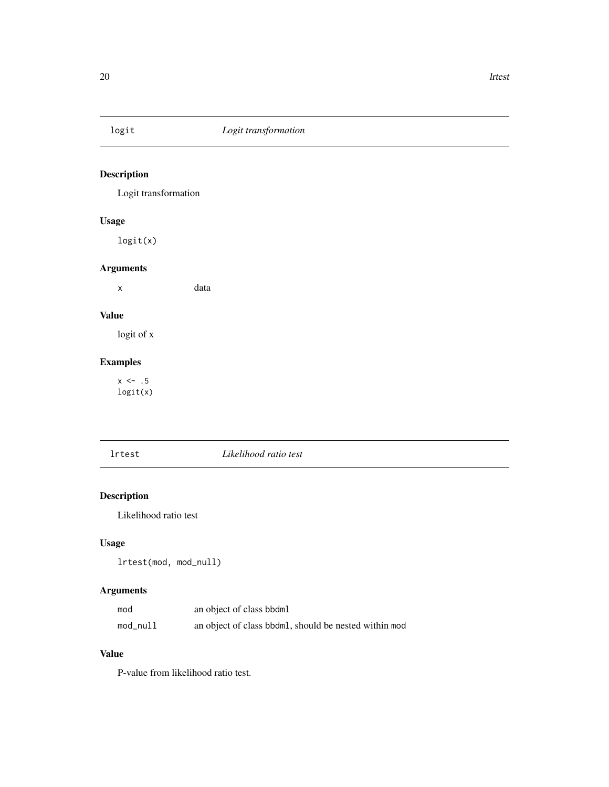<span id="page-19-0"></span>

Logit transformation

## Usage

logit(x)

# Arguments

x data

# Value

logit of x

# Examples

 $x \leftarrow .5$ logit(x)

## lrtest *Likelihood ratio test*

# Description

Likelihood ratio test

# Usage

lrtest(mod, mod\_null)

# Arguments

| mod      | an object of class bbdml                              |
|----------|-------------------------------------------------------|
| mod_null | an object of class bbdml, should be nested within mod |

#### Value

P-value from likelihood ratio test.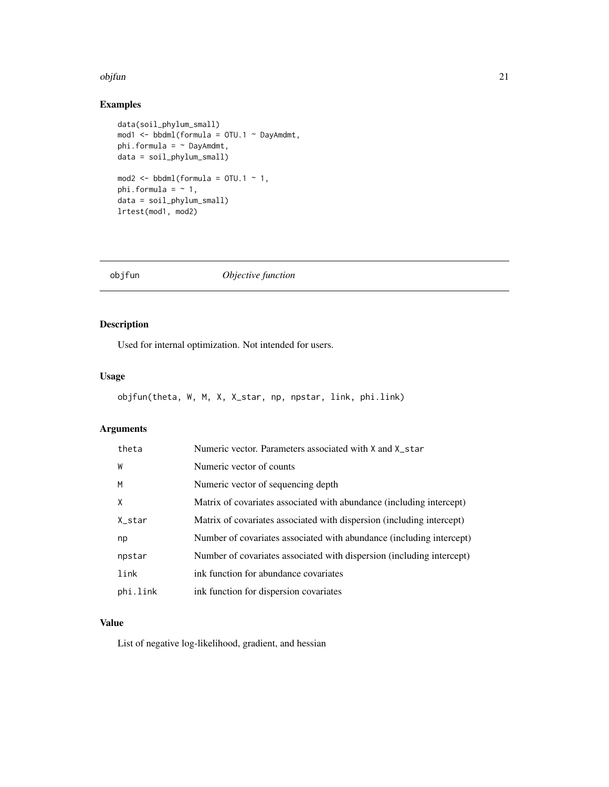#### <span id="page-20-0"></span>objfun 21

## Examples

```
data(soil_phylum_small)
mod1 <- bbdml(formula = OTU.1 ~ DayAmdmt,
phi.formula = ~ DayAmdmt,
data = soil_phylum_small)
mod2 \le bbdml(formula = 0TU.1 \sim 1,
phi.formula = ~1,
data = soil_phylum_small)
lrtest(mod1, mod2)
```
objfun *Objective function*

# Description

Used for internal optimization. Not intended for users.

## Usage

```
objfun(theta, W, M, X, X_star, np, npstar, link, phi.link)
```
## Arguments

| theta    | Numeric vector. Parameters associated with X and X_star               |
|----------|-----------------------------------------------------------------------|
| W        | Numeric vector of counts                                              |
| M        | Numeric vector of sequencing depth                                    |
| X        | Matrix of covariates associated with abundance (including intercept)  |
| X_star   | Matrix of covariates associated with dispersion (including intercept) |
| np       | Number of covariates associated with abundance (including intercept)  |
| npstar   | Number of covariates associated with dispersion (including intercept) |
| link     | ink function for abundance covariates                                 |
| phi.link | ink function for dispersion covariates                                |

# Value

List of negative log-likelihood, gradient, and hessian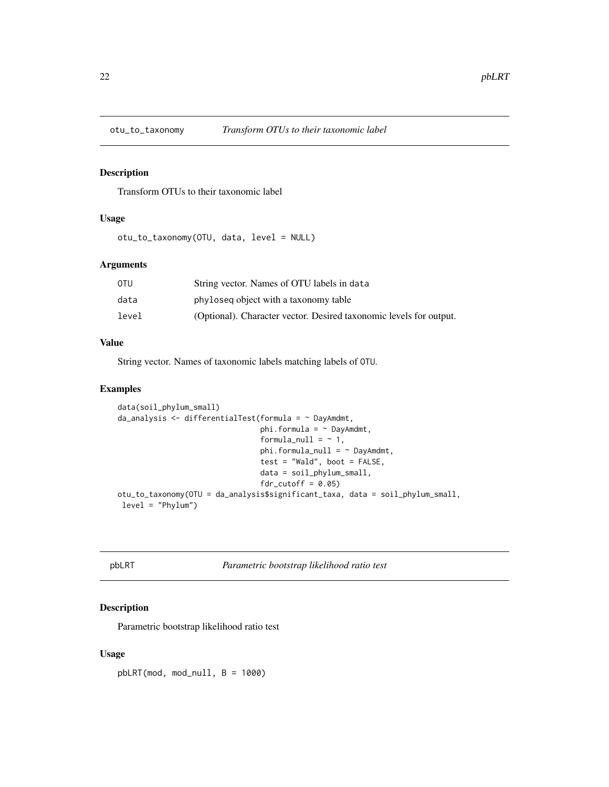<span id="page-21-0"></span>

Transform OTUs to their taxonomic label

# Usage

otu\_to\_taxonomy(OTU, data, level = NULL)

#### Arguments

| OTU   | String vector. Names of OTU labels in data                         |
|-------|--------------------------------------------------------------------|
| data  | phyloseq object with a taxonomy table                              |
| level | (Optional). Character vector. Desired taxonomic levels for output. |

#### Value

String vector. Names of taxonomic labels matching labels of OTU.

#### Examples

```
data(soil_phylum_small)
da_analysis <- differentialTest(formula = ~ DayAmdmt,
                                phi.formula = \sim DayAmdmt,
                                formula_null = ~1,
                                phi.formula_null = ~ DayAmdmt,
                                test = "Wald", boot = FALSE,
                                data = soil_phylum_small,
                                fdr_cutoff = 0.05otu_to_taxonomy(OTU = da_analysis$significant_taxa, data = soil_phylum_small,
level = "Phylum")
```
<span id="page-21-1"></span>pbLRT *Parametric bootstrap likelihood ratio test*

## Description

Parametric bootstrap likelihood ratio test

#### Usage

 $pbLRT(mod, mod\_null, B = 1000)$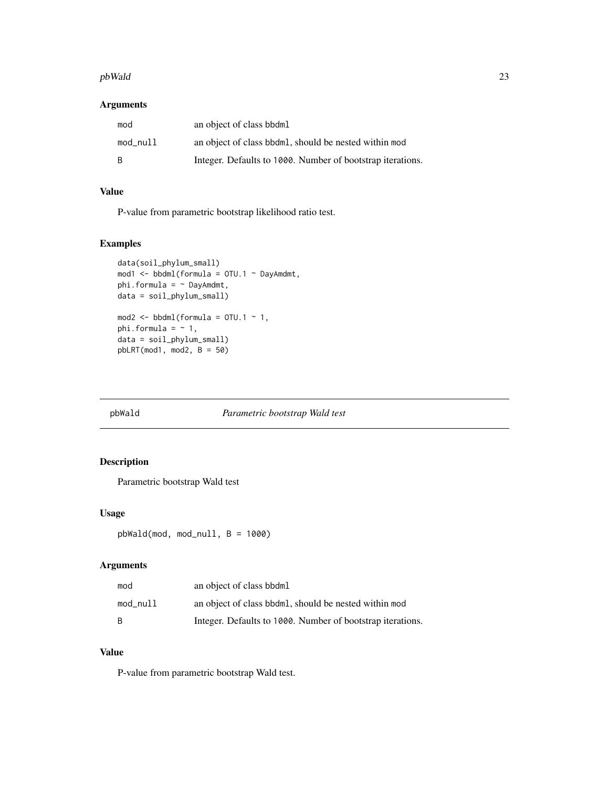#### <span id="page-22-0"></span>pbWald 23

#### Arguments

| mod      | an object of class bbdml                                   |
|----------|------------------------------------------------------------|
| mod_null | an object of class bbdml, should be nested within mod      |
| - B      | Integer. Defaults to 1000. Number of bootstrap iterations. |

# Value

P-value from parametric bootstrap likelihood ratio test.

# Examples

```
data(soil_phylum_small)
mod1 <- bbdml(formula = OTU.1 \sim DayAmdmt,
phi.formula = \sim DayAmdmt,
data = soil_phylum_small)
mod2 \le bbdml(formula = 0TU.1 \sim 1,
phi.formula = ~1,
data = soil_phylum_small)
pbLRT(mod1, mod2, B = 50)
```
<span id="page-22-1"></span>

#### pbWald *Parametric bootstrap Wald test*

## Description

Parametric bootstrap Wald test

# Usage

pbWald(mod, mod\_null, B = 1000)

#### Arguments

| mod          | an object of class bbdml                                   |
|--------------|------------------------------------------------------------|
| mod null     | an object of class bbdml, should be nested within mod      |
| <sub>B</sub> | Integer. Defaults to 1000. Number of bootstrap iterations. |

# Value

P-value from parametric bootstrap Wald test.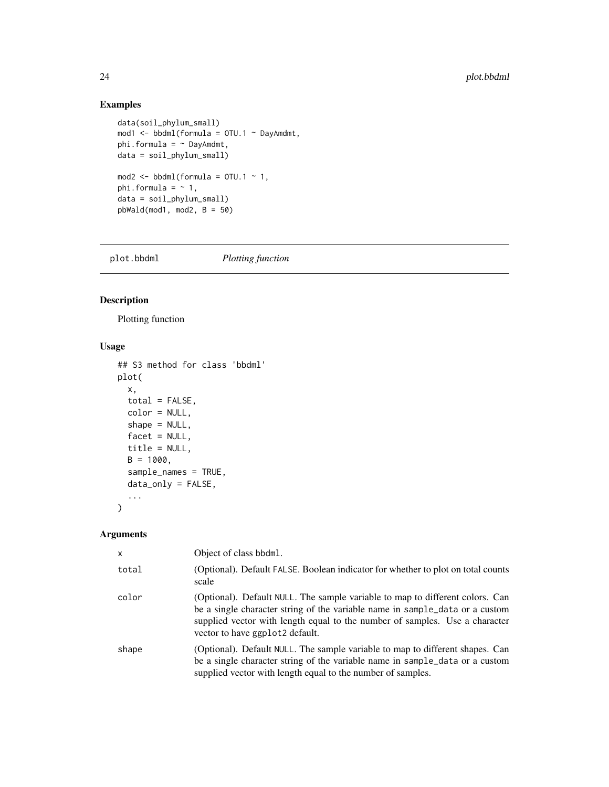## Examples

```
data(soil_phylum_small)
mod1 <- bbdml(formula = OTU.1 ~ DayAmdmt,
phi.formula = ~\sim~ DayAmdmt,
data = soil_phylum_small)
mod2 \le - \text{bbdml}(\text{formula} = \text{OTU}.1 \sim 1,phi.formula = ~1,
data = soil_phylum_small)
pbWald(mod1, mod2, B = 50)
```
plot.bbdml *Plotting function*

## Description

Plotting function

# Usage

```
## S3 method for class 'bbdml'
plot(
 x,
 total = FALSE,color = NULL,
  shape = NULL,facet = NULL,
  title = NULL,
 B = 1000,sample_names = TRUE,
 data_only = FALSE,
  ...
\mathcal{L}
```
## Arguments

| x     | Object of class bbdml.                                                                                                                                                                                                                                                          |
|-------|---------------------------------------------------------------------------------------------------------------------------------------------------------------------------------------------------------------------------------------------------------------------------------|
| total | (Optional). Default FALSE. Boolean indicator for whether to plot on total counts<br>scale                                                                                                                                                                                       |
| color | (Optional). Default NULL. The sample variable to map to different colors. Can<br>be a single character string of the variable name in sample_data or a custom<br>supplied vector with length equal to the number of samples. Use a character<br>vector to have ggplot2 default. |
| shape | (Optional). Default NULL. The sample variable to map to different shapes. Can<br>be a single character string of the variable name in sample_data or a custom<br>supplied vector with length equal to the number of samples.                                                    |

<span id="page-23-0"></span>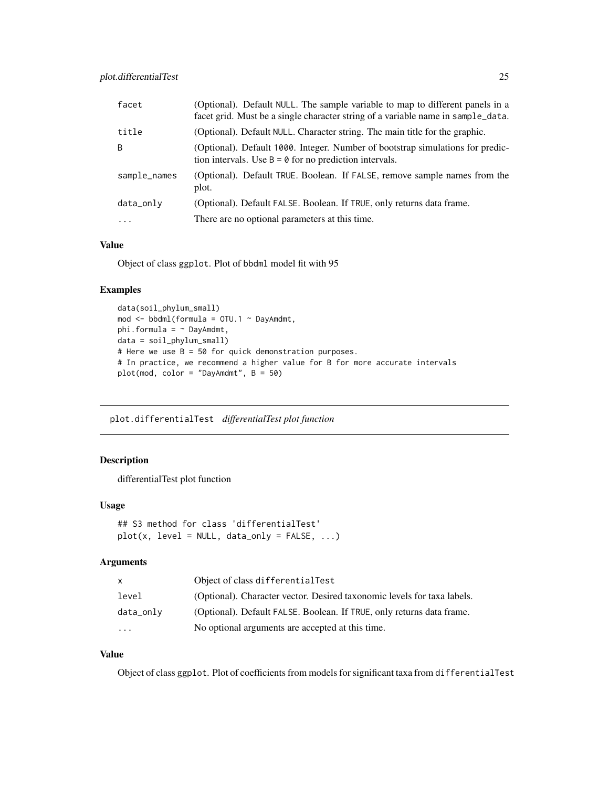<span id="page-24-0"></span>

| facet        | (Optional). Default NULL. The sample variable to map to different panels in a<br>facet grid. Must be a single character string of a variable name in sample_data. |
|--------------|-------------------------------------------------------------------------------------------------------------------------------------------------------------------|
| title        | (Optional). Default NULL. Character string. The main title for the graphic.                                                                                       |
| B            | (Optional). Default 1000. Integer. Number of bootstrap simulations for predic-<br>tion intervals. Use $B = \emptyset$ for no prediction intervals.                |
| sample_names | (Optional). Default TRUE. Boolean. If FALSE, remove sample names from the<br>plot.                                                                                |
| data_only    | (Optional). Default FALSE. Boolean. If TRUE, only returns data frame.                                                                                             |
| $\cdots$     | There are no optional parameters at this time.                                                                                                                    |

#### Value

Object of class ggplot. Plot of bbdml model fit with 95

# Examples

```
data(soil_phylum_small)
mod <- bbdml(formula = OTU.1 ~ DayAmdmt,
phi.formula = ~ DayAmdmt,
data = soil_phylum_small)
# Here we use B = 50 for quick demonstration purposes.
# In practice, we recommend a higher value for B for more accurate intervals
plot(mod, color = "DayAmdmt", B = 50)
```
plot.differentialTest *differentialTest plot function*

# Description

differentialTest plot function

#### Usage

```
## S3 method for class 'differentialTest'
plot(x, level = NULL, data\_only = FALSE, ...)
```
## Arguments

| X.        | Object of class differentialTest                                        |
|-----------|-------------------------------------------------------------------------|
| level     | (Optional). Character vector. Desired taxonomic levels for taxa labels. |
| data_only | (Optional). Default FALSE. Boolean. If TRUE, only returns data frame.   |
| $\ddotsc$ | No optional arguments are accepted at this time.                        |

# Value

Object of class ggplot. Plot of coefficients from models for significant taxa from differentialTest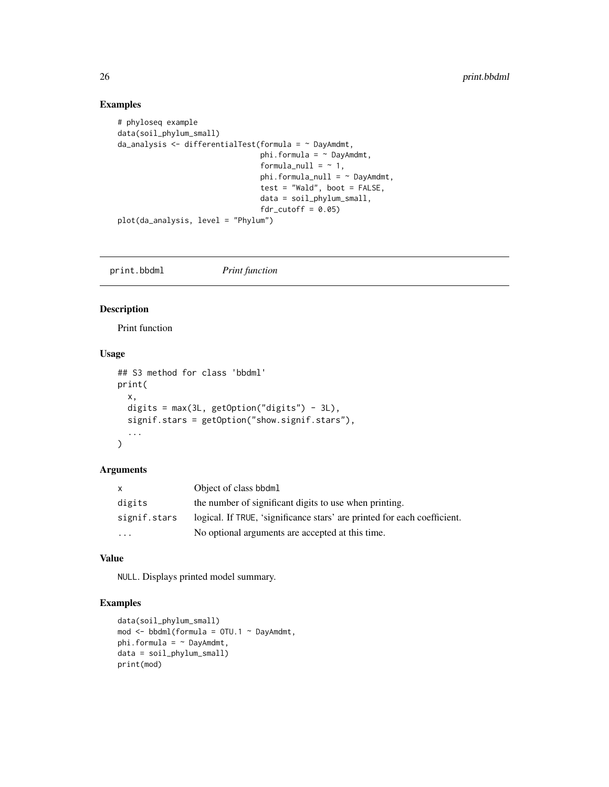#### Examples

```
# phyloseq example
data(soil_phylum_small)
da_analysis <- differentialTest(formula = ~ DayAmdmt,
                                phi.formula = \sim DayAmdmt,
                                formula_null = ~1,
                                phi.formula_null = ~ DayAmdmt,
                                test = "Wald", boot = FALSE,
                                data = soil_phylum_small,
                                fdr_cutoff = 0.05plot(da_analysis, level = "Phylum")
```
print.bbdml *Print function*

#### Description

Print function

#### Usage

```
## S3 method for class 'bbdml'
print(
 x,
  digits = max(3L, getOption("digits") - 3L),
  signif.stars = getOption("show.signif.stars"),
  ...
\mathcal{L}
```
# Arguments

| $\mathsf{x}$ | Object of class bbdml                                                    |
|--------------|--------------------------------------------------------------------------|
| digits       | the number of significant digits to use when printing.                   |
| signif.stars | logical. If TRUE, 'significance stars' are printed for each coefficient. |
| $\cdots$     | No optional arguments are accepted at this time.                         |

#### Value

NULL. Displays printed model summary.

#### Examples

```
data(soil_phylum_small)
mod \leq bbdml(formula = 0TU.1 \sim DayAmdmt,
phi.formula = \sim DayAmdmt,
data = soil_phylum_small)
print(mod)
```
<span id="page-25-0"></span>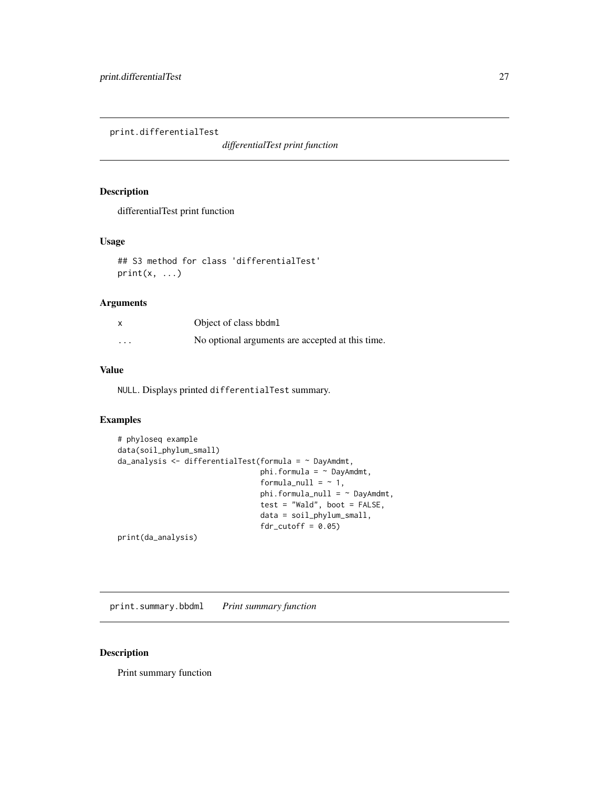<span id="page-26-0"></span>print.differentialTest

*differentialTest print function*

## Description

differentialTest print function

#### Usage

```
## S3 method for class 'differentialTest'
print(x, \ldots)
```
# Arguments

| $\boldsymbol{\mathsf{x}}$ | Object of class bbdml                            |
|---------------------------|--------------------------------------------------|
| $\cdots$                  | No optional arguments are accepted at this time. |

#### Value

NULL. Displays printed differentialTest summary.

## Examples

```
# phyloseq example
data(soil_phylum_small)
da_analysis <- differentialTest(formula = \sim DayAmdmt,
                                phi.formula = ~ DayAmdmt,
                                formula\_null = ~ 1,phi.formula_null = ~ DayAmdmt,
                                test = "Wald", boot = FALSE,
                                data = soil_phylum_small,
                                fdr_cutoff = 0.05
```
print(da\_analysis)

print.summary.bbdml *Print summary function*

#### Description

Print summary function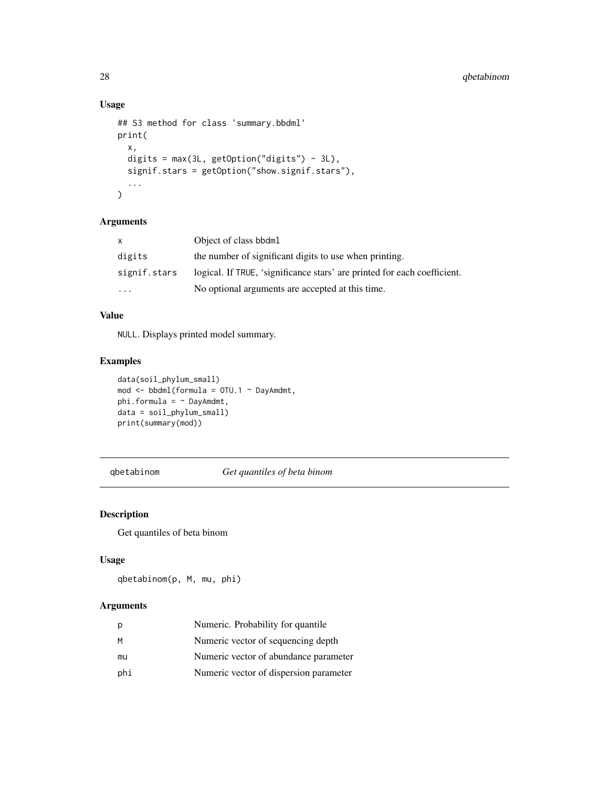#### Usage

```
## S3 method for class 'summary.bbdml'
print(
  x,
 digits = max(3L, getOption("digits") - 3L),
  signif.stars = getOption("show.signif.stars"),
  ...
\mathcal{L}
```
## Arguments

| X            | Object of class bbdml                                                    |
|--------------|--------------------------------------------------------------------------|
| digits       | the number of significant digits to use when printing.                   |
| signif.stars | logical. If TRUE, 'significance stars' are printed for each coefficient. |
| .            | No optional arguments are accepted at this time.                         |

# Value

NULL. Displays printed model summary.

## Examples

```
data(soil_phylum_small)
mod <- bbdml(formula = OTU.1 ~ DayAmdmt,
phi.formula = \sim DayAmdmt,
data = soil_phylum_small)
print(summary(mod))
```
qbetabinom *Get quantiles of beta binom*

# Description

Get quantiles of beta binom

## Usage

qbetabinom(p, M, mu, phi)

## Arguments

| р   | Numeric. Probability for quantile.     |
|-----|----------------------------------------|
| М   | Numeric vector of sequencing depth     |
| mu  | Numeric vector of abundance parameter  |
| phi | Numeric vector of dispersion parameter |

<span id="page-27-0"></span>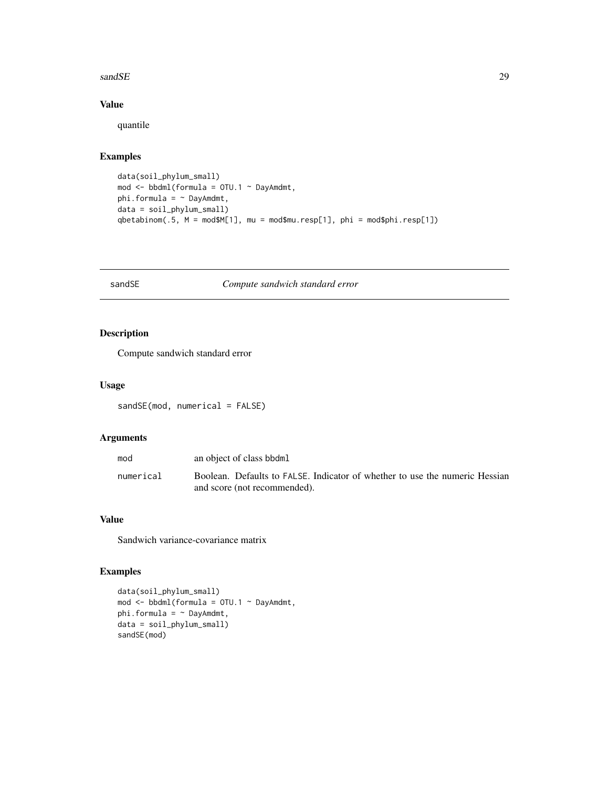#### <span id="page-28-0"></span>sand SE 29

# Value

quantile

# Examples

```
data(soil_phylum_small)
mod <- bbdml(formula = OTU.1 ~ DayAmdmt,
phi.formula = \sim DayAmdmt,
data = soil_phylum_small)
qbetabinom(.5, M = mod$M[1], mu = mod$mu.resp[1], phi = mod$phi.resp[1])
```
sandSE *Compute sandwich standard error*

## Description

Compute sandwich standard error

## Usage

sandSE(mod, numerical = FALSE)

## Arguments

| mod       | an object of class bbdml                                                                                    |
|-----------|-------------------------------------------------------------------------------------------------------------|
| numerical | Boolean. Defaults to FALSE. Indicator of whether to use the numeric Hessian<br>and score (not recommended). |

# Value

Sandwich variance-covariance matrix

## Examples

```
data(soil_phylum_small)
mod <- bbdml(formula = OTU.1 ~ DayAmdmt,
phi.formula = \sim DayAmdmt,
data = soil_phylum_small)
sandSE(mod)
```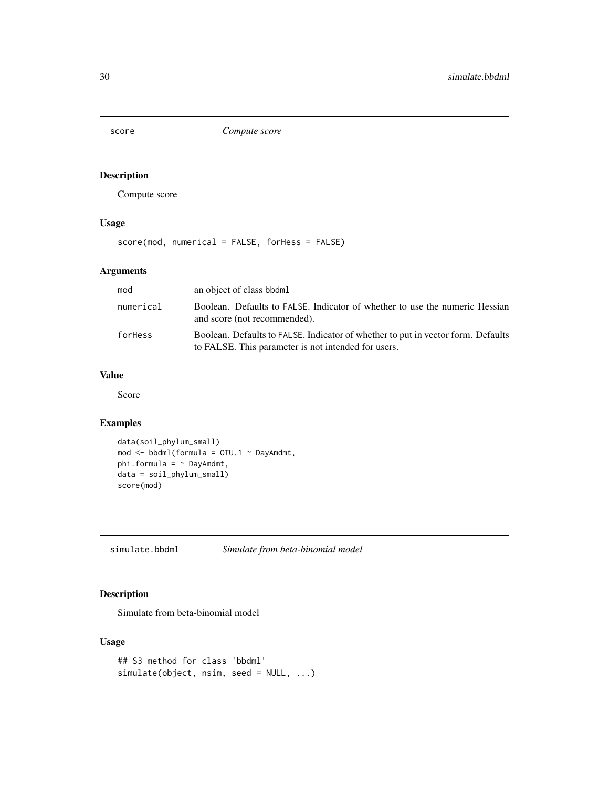<span id="page-29-0"></span>

Compute score

# Usage

score(mod, numerical = FALSE, forHess = FALSE)

## Arguments

| mod       | an object of class bbdml                                                                                                                |
|-----------|-----------------------------------------------------------------------------------------------------------------------------------------|
| numerical | Boolean. Defaults to FALSE. Indicator of whether to use the numeric Hessian<br>and score (not recommended).                             |
| forHess   | Boolean. Defaults to FALSE. Indicator of whether to put in vector form. Defaults<br>to FALSE. This parameter is not intended for users. |

# Value

Score

## Examples

```
data(soil_phylum_small)
mod <- bbdml(formula = OTU.1 ~ DayAmdmt,
phi.formula = \sim DayAmdmt,
data = soil_phylum_small)
score(mod)
```
simulate.bbdml *Simulate from beta-binomial model*

## Description

Simulate from beta-binomial model

#### Usage

```
## S3 method for class 'bbdml'
simulate(object, nsim, seed = NULL, ...)
```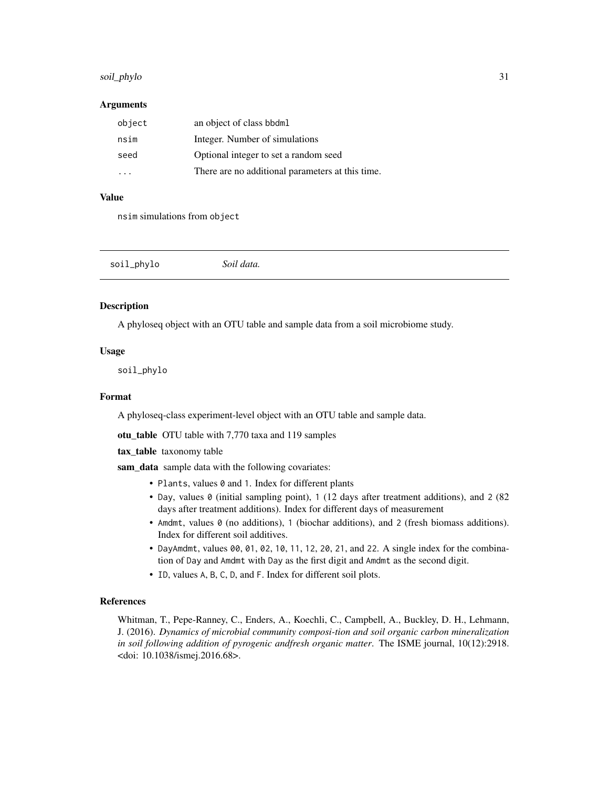## <span id="page-30-0"></span>soil\_phylo 31

#### Arguments

| object | an object of class bbdml                         |
|--------|--------------------------------------------------|
| nsim   | Integer. Number of simulations                   |
| seed   | Optional integer to set a random seed            |
|        | There are no additional parameters at this time. |

#### Value

nsim simulations from object

<span id="page-30-1"></span>

| soil_phylo | Soil data. |  |  |
|------------|------------|--|--|
|------------|------------|--|--|

## Description

A phyloseq object with an OTU table and sample data from a soil microbiome study.

#### Usage

soil\_phylo

#### Format

A phyloseq-class experiment-level object with an OTU table and sample data.

otu\_table OTU table with 7,770 taxa and 119 samples

tax\_table taxonomy table

sam\_data sample data with the following covariates:

- Plants, values 0 and 1. Index for different plants
- Day, values 0 (initial sampling point), 1 (12 days after treatment additions), and 2 (82) days after treatment additions). Index for different days of measurement
- Amdmt, values 0 (no additions), 1 (biochar additions), and 2 (fresh biomass additions). Index for different soil additives.
- DayAmdmt, values 00, 01, 02, 10, 11, 12, 20, 21, and 22. A single index for the combination of Day and Amdmt with Day as the first digit and Amdmt as the second digit.
- ID, values A, B, C, D, and F. Index for different soil plots.

#### References

Whitman, T., Pepe-Ranney, C., Enders, A., Koechli, C., Campbell, A., Buckley, D. H., Lehmann, J. (2016). *Dynamics of microbial community composi-tion and soil organic carbon mineralization in soil following addition of pyrogenic andfresh organic matter*. The ISME journal, 10(12):2918. <doi: 10.1038/ismej.2016.68>.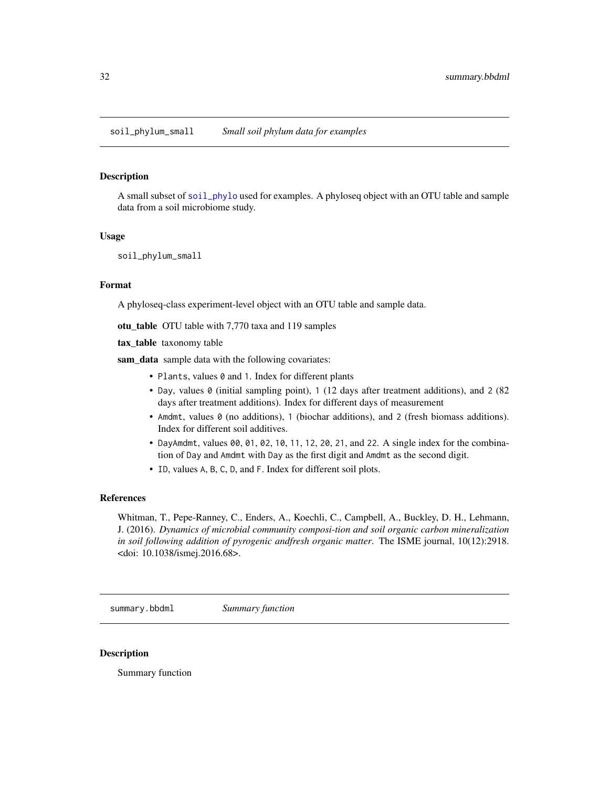<span id="page-31-0"></span>soil\_phylum\_small *Small soil phylum data for examples*

#### **Description**

A small subset of [soil\\_phylo](#page-30-1) used for examples. A phyloseq object with an OTU table and sample data from a soil microbiome study.

#### Usage

soil\_phylum\_small

#### Format

A phyloseq-class experiment-level object with an OTU table and sample data.

otu\_table OTU table with 7,770 taxa and 119 samples

tax\_table taxonomy table

sam\_data sample data with the following covariates:

- Plants, values 0 and 1. Index for different plants
- Day, values 0 (initial sampling point), 1 (12 days after treatment additions), and 2 (82 days after treatment additions). Index for different days of measurement
- Amdmt, values 0 (no additions), 1 (biochar additions), and 2 (fresh biomass additions). Index for different soil additives.
- DayAmdmt, values 00, 01, 02, 10, 11, 12, 20, 21, and 22. A single index for the combination of Day and Amdmt with Day as the first digit and Amdmt as the second digit.
- ID, values A, B, C, D, and F. Index for different soil plots.

#### References

Whitman, T., Pepe-Ranney, C., Enders, A., Koechli, C., Campbell, A., Buckley, D. H., Lehmann, J. (2016). *Dynamics of microbial community composi-tion and soil organic carbon mineralization in soil following addition of pyrogenic andfresh organic matter*. The ISME journal, 10(12):2918. <doi: 10.1038/ismej.2016.68>.

summary.bbdml *Summary function*

#### **Description**

Summary function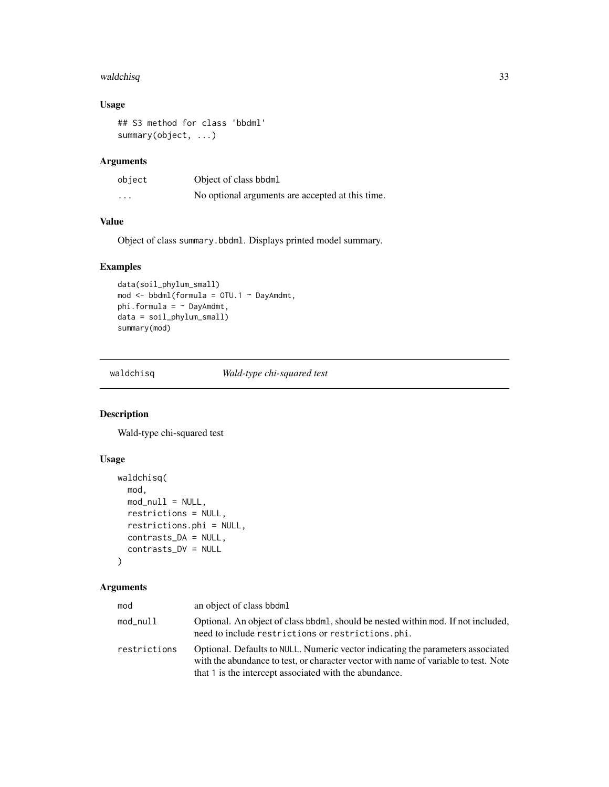#### <span id="page-32-0"></span>waldchisq 33

# Usage

```
## S3 method for class 'bbdml'
summary(object, ...)
```
# Arguments

| object  | Object of class bbdml                            |
|---------|--------------------------------------------------|
| $\cdot$ | No optional arguments are accepted at this time. |

#### Value

Object of class summary.bbdml. Displays printed model summary.

## Examples

```
data(soil_phylum_small)
mod <- bbdml(formula = OTU.1 ~ DayAmdmt,
phi.formula = \sim DayAmdmt,
data = soil_phylum_small)
summary(mod)
```
waldchisq *Wald-type chi-squared test*

## Description

Wald-type chi-squared test

#### Usage

```
waldchisq(
  mod,
  mod\_null = NULL,restrictions = NULL,
  restrictions.phi = NULL,
  contrasts_DA = NULL,
  contrasts_DV = NULL
)
```
#### Arguments

| mod          | an object of class bbdml                                                                                                                                                                                                         |
|--------------|----------------------------------------------------------------------------------------------------------------------------------------------------------------------------------------------------------------------------------|
| mod_null     | Optional. An object of class bbdml, should be nested within mod. If not included,<br>need to include restrictions or restrictions.phi.                                                                                           |
| restrictions | Optional. Defaults to NULL. Numeric vector indicating the parameters associated<br>with the abundance to test, or character vector with name of variable to test. Note<br>that 1 is the intercept associated with the abundance. |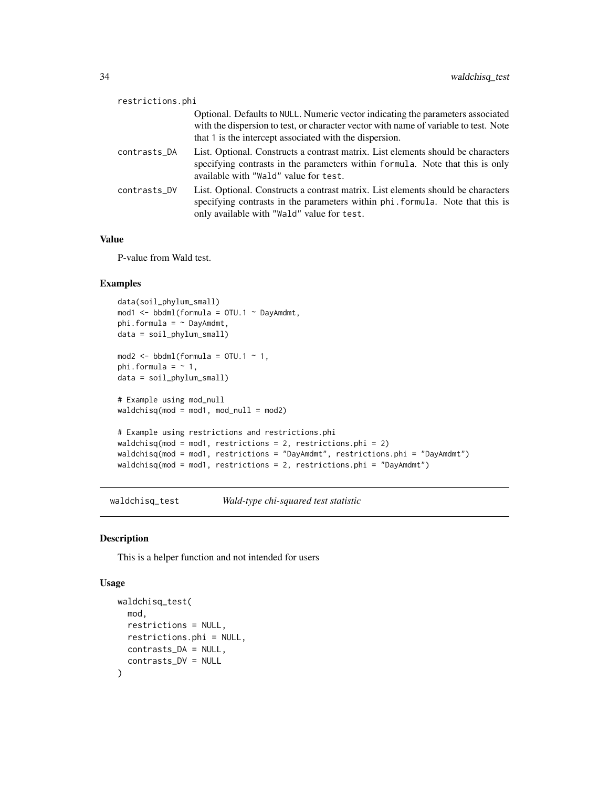<span id="page-33-0"></span>

| restrictions.phi |                                                                                                                                                                                                                                    |
|------------------|------------------------------------------------------------------------------------------------------------------------------------------------------------------------------------------------------------------------------------|
|                  | Optional. Defaults to NULL. Numeric vector indicating the parameters associated<br>with the dispersion to test, or character vector with name of variable to test. Note<br>that 1 is the intercept associated with the dispersion. |
| contrasts_DA     | List. Optional. Constructs a contrast matrix. List elements should be characters<br>specifying contrasts in the parameters within formula. Note that this is only<br>available with "Wald" value for test.                         |
| contrasts_DV     | List. Optional. Constructs a contrast matrix. List elements should be characters<br>specifying contrasts in the parameters within phi. formula. Note that this is<br>only available with "Wald" value for test.                    |

#### Value

P-value from Wald test.

## Examples

```
data(soil_phylum_small)
mod1 <- bbdml(formula = OTU.1 ~ DayAmdmt,
phi.formula = \sim DayAmdmt,
data = soil_phylum_small)
mod2 \le - \text{bbdml}(\text{formula} = \text{OTU}.1 \sim 1,phi.formula = ~1,
data = soil_phylum_small)
# Example using mod_null
waldchisq(mod = mod1, mod\_null = mod2)# Example using restrictions and restrictions.phi
waldchisq(mod = mod1, restrictions = 2, restrictions.phi = 2)
waldchisq(mod = mod1, restrictions = "DayAmdmt", restrictions.phi = "DayAmdmt")
waldchisq(mod = mod1, restrictions = 2, restrictions.phi = "DayAmdmt")
```
waldchisq\_test *Wald-type chi-squared test statistic*

#### Description

This is a helper function and not intended for users

#### Usage

```
waldchisq_test(
 mod,
  restrictions = NULL,
  restrictions.phi = NULL,
  contrasts_DA = NULL,
  contrasts_DV = NULL
)
```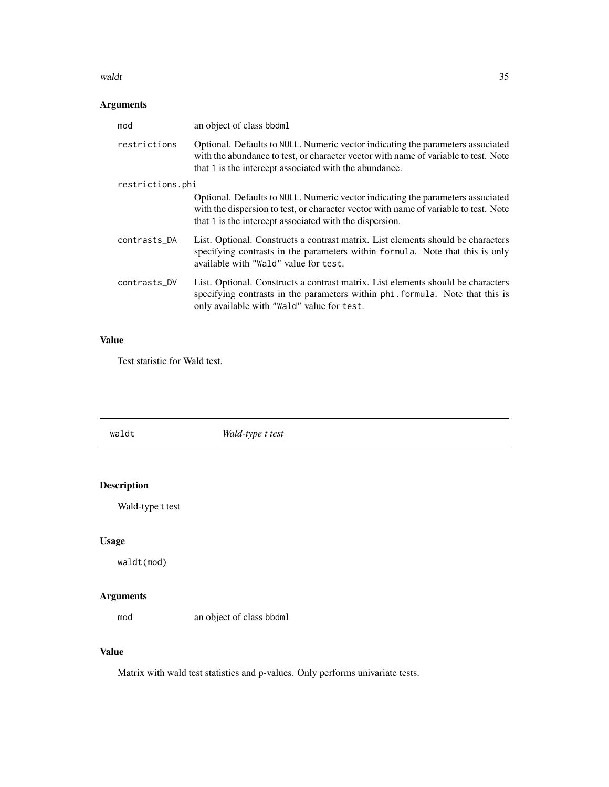#### <span id="page-34-0"></span>waldt 35

# Arguments

| mod              | an object of class bbdml                                                                                                                                                                                                           |  |  |
|------------------|------------------------------------------------------------------------------------------------------------------------------------------------------------------------------------------------------------------------------------|--|--|
| restrictions     | Optional. Defaults to NULL. Numeric vector indicating the parameters associated<br>with the abundance to test, or character vector with name of variable to test. Note<br>that 1 is the intercept associated with the abundance.   |  |  |
| restrictions.phi |                                                                                                                                                                                                                                    |  |  |
|                  | Optional. Defaults to NULL. Numeric vector indicating the parameters associated<br>with the dispersion to test, or character vector with name of variable to test. Note<br>that 1 is the intercept associated with the dispersion. |  |  |
| contrasts_DA     | List. Optional. Constructs a contrast matrix. List elements should be characters<br>specifying contrasts in the parameters within formula. Note that this is only<br>available with "Wald" value for test.                         |  |  |
| contrasts_DV     | List. Optional. Constructs a contrast matrix. List elements should be characters<br>specifying contrasts in the parameters within phi. formula. Note that this is<br>only available with "Wald" value for test.                    |  |  |

# Value

Test statistic for Wald test.

| waldt              | Wald-type t test         |  |
|--------------------|--------------------------|--|
|                    |                          |  |
| <b>Description</b> |                          |  |
| Wald-type t test   |                          |  |
| <b>Usage</b>       |                          |  |
| waldt(mod)         |                          |  |
| <b>Arguments</b>   |                          |  |
| mod                | an object of class bbdml |  |

# Value

Matrix with wald test statistics and p-values. Only performs univariate tests.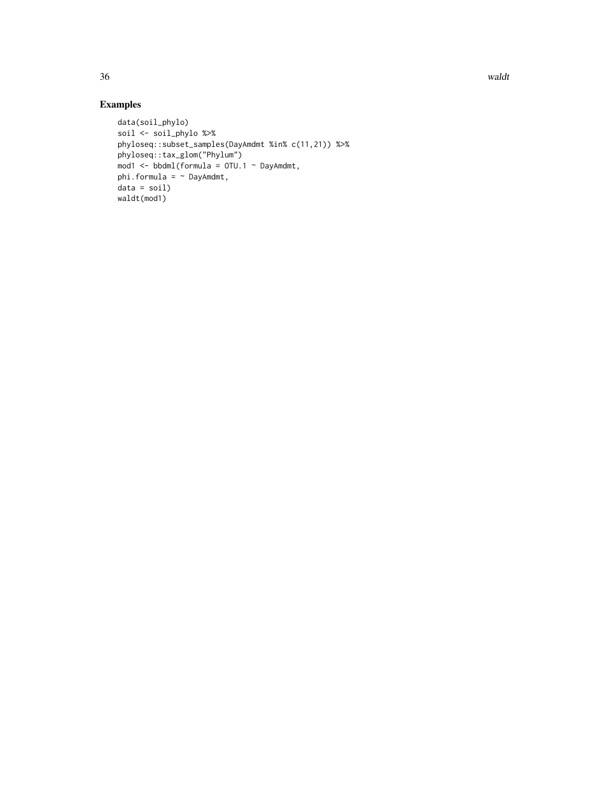36 waldt

# Examples

```
data(soil_phylo)
soil <- soil_phylo %>%
phyloseq::subset_samples(DayAmdmt %in% c(11,21)) %>%
phyloseq::tax_glom("Phylum")
mod1 <- bbdml(formula = OTU.1 ~ DayAmdmt,
phi.formula = \sim DayAmdmt,
data = soil)
waldt(mod1)
```